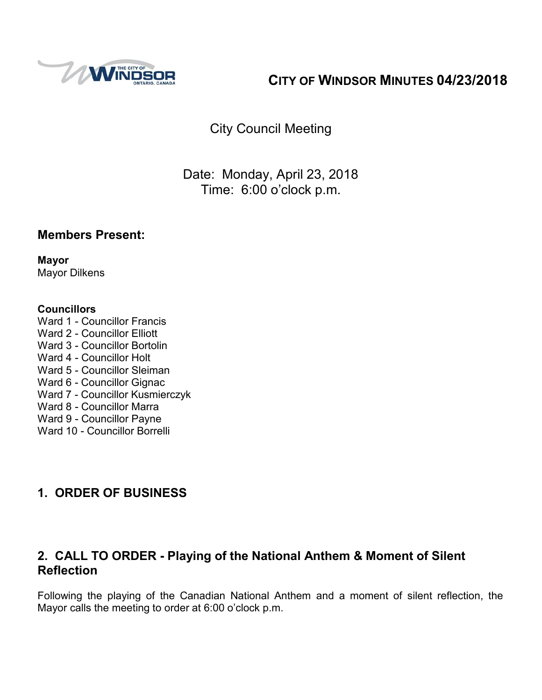

# **CITY OF WINDSOR MINUTES 04/23/2018**

City Council Meeting

Date: Monday, April 23, 2018 Time: 6:00 o'clock p.m.

### **Members Present:**

**Mayor** Mayor Dilkens

#### **Councillors**

Ward 1 - Councillor Francis Ward 2 - Councillor Elliott Ward 3 - Councillor Bortolin Ward 4 - Councillor Holt Ward 5 - Councillor Sleiman Ward 6 - Councillor Gignac Ward 7 - Councillor Kusmierczyk Ward 8 - Councillor Marra Ward 9 - Councillor Payne Ward 10 - Councillor Borrelli

# **1. ORDER OF BUSINESS**

# **2. CALL TO ORDER - Playing of the National Anthem & Moment of Silent Reflection**

Following the playing of the Canadian National Anthem and a moment of silent reflection, the Mayor calls the meeting to order at 6:00 o'clock p.m.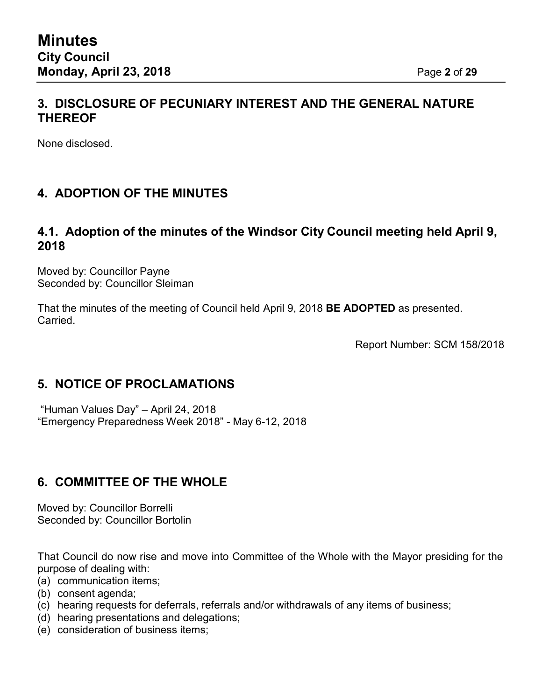# **3. DISCLOSURE OF PECUNIARY INTEREST AND THE GENERAL NATURE THEREOF**

None disclosed.

# **4. ADOPTION OF THE MINUTES**

### **4.1. Adoption of the minutes of the Windsor City Council meeting held April 9, 2018**

Moved by: Councillor Payne Seconded by: Councillor Sleiman

That the minutes of the meeting of Council held April 9, 2018 **BE ADOPTED** as presented. Carried.

Report Number: SCM 158/2018

# **5. NOTICE OF PROCLAMATIONS**

"Human Values Day" – April 24, 2018 "Emergency Preparedness Week 2018" - May 6-12, 2018

# **6. COMMITTEE OF THE WHOLE**

Moved by: Councillor Borrelli Seconded by: Councillor Bortolin

That Council do now rise and move into Committee of the Whole with the Mayor presiding for the purpose of dealing with:

- (a) communication items;
- (b) consent agenda;
- (c) hearing requests for deferrals, referrals and/or withdrawals of any items of business;
- (d) hearing presentations and delegations;
- (e) consideration of business items;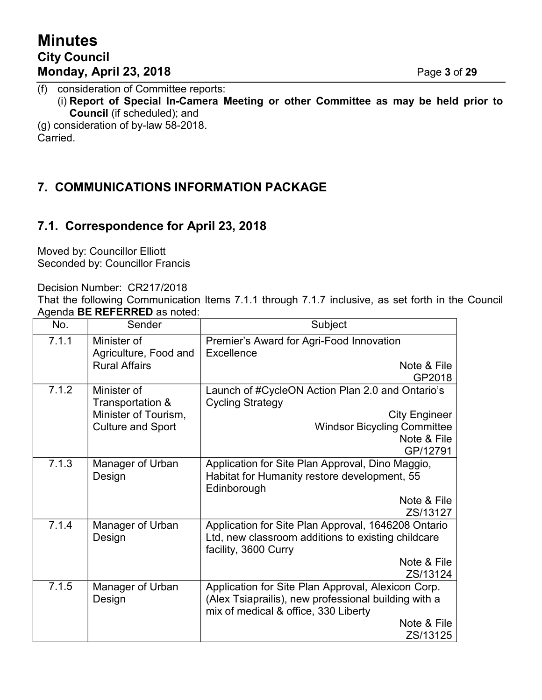# **Minutes City Council Monday, April 23, 2018** Page **3** of **29**

(f) consideration of Committee reports:

(i) **Report of Special In-Camera Meeting or other Committee as may be held prior to Council** (if scheduled); and

(g) consideration of by-law 58-2018. **Carried** 

# **7. COMMUNICATIONS INFORMATION PACKAGE**

### **7.1. Correspondence for April 23, 2018**

Moved by: Councillor Elliott Seconded by: Councillor Francis

Decision Number: CR217/2018

That the following Communication Items 7.1.1 through 7.1.7 inclusive, as set forth in the Council Agenda **BE REFERRED** as noted:

| No.   | Sender                   | Subject                                              |
|-------|--------------------------|------------------------------------------------------|
| 7.1.1 | Minister of              | Premier's Award for Agri-Food Innovation             |
|       | Agriculture, Food and    | Excellence                                           |
|       | <b>Rural Affairs</b>     | Note & File                                          |
|       |                          | GP2018                                               |
| 7.1.2 | Minister of              | Launch of #CycleON Action Plan 2.0 and Ontario's     |
|       | Transportation &         | <b>Cycling Strategy</b>                              |
|       | Minister of Tourism,     | <b>City Engineer</b>                                 |
|       | <b>Culture and Sport</b> | <b>Windsor Bicycling Committee</b>                   |
|       |                          | Note & File                                          |
|       |                          | GP/12791                                             |
| 7.1.3 | Manager of Urban         | Application for Site Plan Approval, Dino Maggio,     |
|       | Design                   | Habitat for Humanity restore development, 55         |
|       |                          | Edinborough                                          |
|       |                          | Note & File                                          |
|       |                          | ZS/13127                                             |
| 7.1.4 | Manager of Urban         | Application for Site Plan Approval, 1646208 Ontario  |
|       | Design                   | Ltd, new classroom additions to existing childcare   |
|       |                          | facility, 3600 Curry                                 |
|       |                          | Note & File                                          |
|       |                          | ZS/13124                                             |
| 7.1.5 | Manager of Urban         | Application for Site Plan Approval, Alexicon Corp.   |
|       | Design                   | (Alex Tsiaprailis), new professional building with a |
|       |                          | mix of medical & office, 330 Liberty                 |
|       |                          | Note & File                                          |
|       |                          | ZS/13125                                             |
|       |                          |                                                      |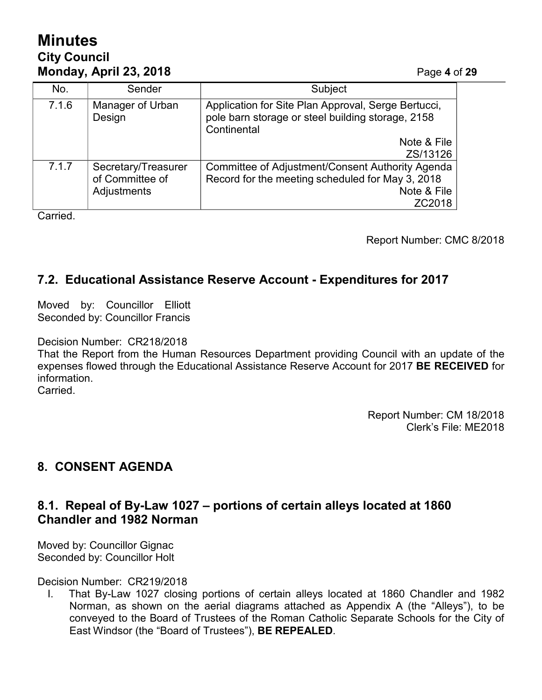# **Minutes City Council Monday, April 23, 2018** Page **4** of **29**

| No.   | Sender                                                | Subject                                                                                                                       |
|-------|-------------------------------------------------------|-------------------------------------------------------------------------------------------------------------------------------|
| 7.1.6 | Manager of Urban<br>Design                            | Application for Site Plan Approval, Serge Bertucci,<br>pole barn storage or steel building storage, 2158<br>Continental       |
|       |                                                       | Note & File<br>ZS/13126                                                                                                       |
| 7.1.7 | Secretary/Treasurer<br>of Committee of<br>Adjustments | Committee of Adjustment/Consent Authority Agenda<br>Record for the meeting scheduled for May 3, 2018<br>Note & File<br>ZC2018 |

Carried.

Report Number: CMC 8/2018

# **7.2. Educational Assistance Reserve Account - Expenditures for 2017**

Moved by: Councillor Elliott Seconded by: Councillor Francis

Decision Number: CR218/2018

That the Report from the Human Resources Department providing Council with an update of the expenses flowed through the Educational Assistance Reserve Account for 2017 **BE RECEIVED** for information.

Carried.

Report Number: CM 18/2018 Clerk's File: ME2018

### **8. CONSENT AGENDA**

### **8.1. Repeal of By-Law 1027 – portions of certain alleys located at 1860 Chandler and 1982 Norman**

Moved by: Councillor Gignac Seconded by: Councillor Holt

Decision Number: CR219/2018

I. That By-Law 1027 closing portions of certain alleys located at 1860 Chandler and 1982 Norman, as shown on the aerial diagrams attached as Appendix A (the "Alleys"), to be conveyed to the Board of Trustees of the Roman Catholic Separate Schools for the City of East Windsor (the "Board of Trustees"), **BE REPEALED**.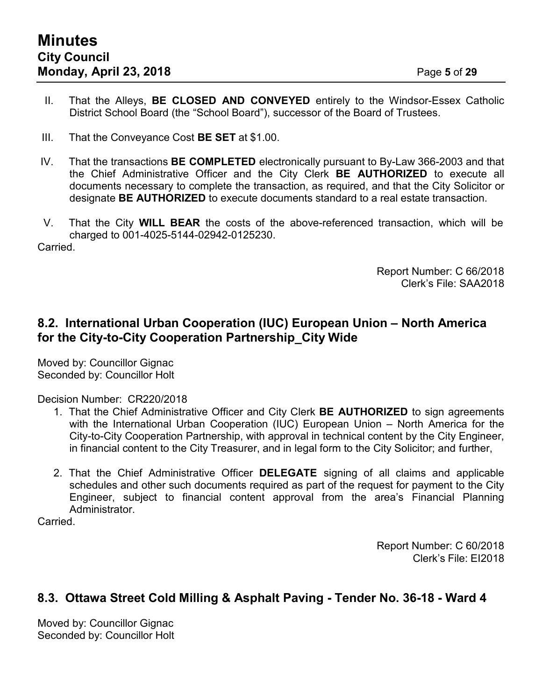- II. That the Alleys, **BE CLOSED AND CONVEYED** entirely to the Windsor-Essex Catholic District School Board (the "School Board"), successor of the Board of Trustees.
- III. That the Conveyance Cost **BE SET** at \$1.00.
- IV. That the transactions **BE COMPLETED** electronically pursuant to By-Law 366-2003 and that the Chief Administrative Officer and the City Clerk **BE AUTHORIZED** to execute all documents necessary to complete the transaction, as required, and that the City Solicitor or designate **BE AUTHORIZED** to execute documents standard to a real estate transaction.

V. That the City **WILL BEAR** the costs of the above-referenced transaction, which will be charged to 001-4025-5144-02942-0125230.

Carried.

Report Number: C 66/2018 Clerk's File: SAA2018

# **8.2. International Urban Cooperation (IUC) European Union – North America for the City-to-City Cooperation Partnership\_City Wide**

Moved by: Councillor Gignac Seconded by: Councillor Holt

Decision Number: CR220/2018

- 1. That the Chief Administrative Officer and City Clerk **BE AUTHORIZED** to sign agreements with the International Urban Cooperation (IUC) European Union – North America for the City-to-City Cooperation Partnership, with approval in technical content by the City Engineer, in financial content to the City Treasurer, and in legal form to the City Solicitor; and further,
- 2. That the Chief Administrative Officer **DELEGATE** signing of all claims and applicable schedules and other such documents required as part of the request for payment to the City Engineer, subject to financial content approval from the area's Financial Planning Administrator.

**Carried** 

Report Number: C 60/2018 Clerk's File: EI2018

### **8.3. Ottawa Street Cold Milling & Asphalt Paving - Tender No. 36-18 - Ward 4**

Moved by: Councillor Gignac Seconded by: Councillor Holt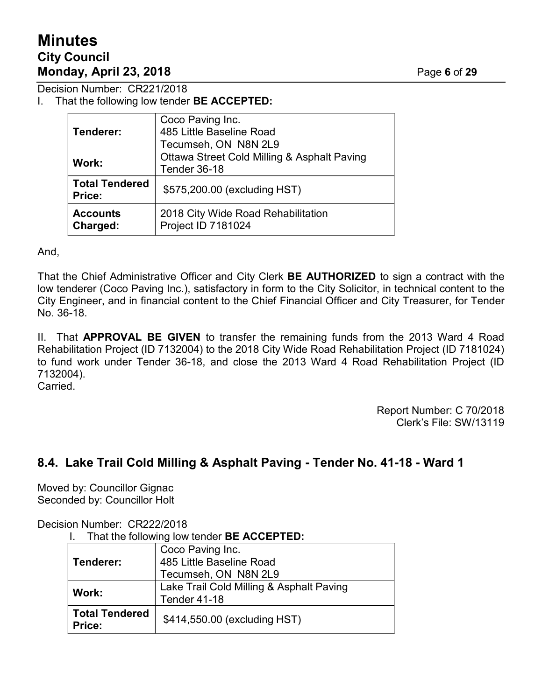# **Minutes City Council Monday, April 23, 2018** Page **6** of **29**

Decision Number: CR221/2018

I. That the following low tender **BE ACCEPTED:**

| Tenderer:                       | Coco Paving Inc.<br>485 Little Baseline Road<br>Tecumseh, ON N8N 2L9 |
|---------------------------------|----------------------------------------------------------------------|
| Work:                           | Ottawa Street Cold Milling & Asphalt Paving<br><b>Tender 36-18</b>   |
| <b>Total Tendered</b><br>Price: | \$575,200.00 (excluding HST)                                         |
| <b>Accounts</b><br>Charged:     | 2018 City Wide Road Rehabilitation<br>Project ID 7181024             |

And,

That the Chief Administrative Officer and City Clerk **BE AUTHORIZED** to sign a contract with the low tenderer (Coco Paving Inc.), satisfactory in form to the City Solicitor, in technical content to the City Engineer, and in financial content to the Chief Financial Officer and City Treasurer, for Tender No. 36-18.

II. That **APPROVAL BE GIVEN** to transfer the remaining funds from the 2013 Ward 4 Road Rehabilitation Project (ID 7132004) to the 2018 City Wide Road Rehabilitation Project (ID 7181024) to fund work under Tender 36-18, and close the 2013 Ward 4 Road Rehabilitation Project (ID 7132004).

Carried.

Report Number: C 70/2018 Clerk's File: SW/13119

### **8.4. Lake Trail Cold Milling & Asphalt Paving - Tender No. 41-18 - Ward 1**

Moved by: Councillor Gignac Seconded by: Councillor Holt

Decision Number: CR222/2018

I. That the following low tender **BE ACCEPTED:**

| Tenderer:                              | Coco Paving Inc.<br>485 Little Baseline Road<br>Tecumseh, ON N8N 2L9 |
|----------------------------------------|----------------------------------------------------------------------|
| Work:                                  | Lake Trail Cold Milling & Asphalt Paving<br><b>Tender 41-18</b>      |
| <b>Total Tendered</b><br><b>Price:</b> | \$414,550.00 (excluding HST)                                         |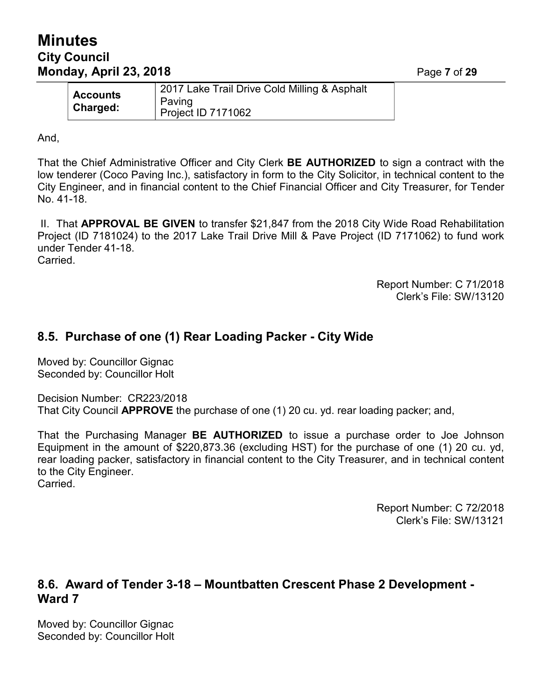# **Minutes City Council Monday, April 23, 2018** Page **7** of **29**

| <b>Accounts</b> | 2017 Lake Trail Drive Cold Milling & Asphalt |  |
|-----------------|----------------------------------------------|--|
| Charged:        | Paving                                       |  |
|                 | <b>Project ID 7171062</b>                    |  |

And,

That the Chief Administrative Officer and City Clerk **BE AUTHORIZED** to sign a contract with the low tenderer (Coco Paving Inc.), satisfactory in form to the City Solicitor, in technical content to the City Engineer, and in financial content to the Chief Financial Officer and City Treasurer, for Tender No. 41-18.

II. That **APPROVAL BE GIVEN** to transfer \$21,847 from the 2018 City Wide Road Rehabilitation Project (ID 7181024) to the 2017 Lake Trail Drive Mill & Pave Project (ID 7171062) to fund work under Tender 41-18. Carried.

> Report Number: C 71/2018 Clerk's File: SW/13120

# **8.5. Purchase of one (1) Rear Loading Packer - City Wide**

Moved by: Councillor Gignac Seconded by: Councillor Holt

Decision Number: CR223/2018 That City Council **APPROVE** the purchase of one (1) 20 cu. yd. rear loading packer; and,

That the Purchasing Manager **BE AUTHORIZED** to issue a purchase order to Joe Johnson Equipment in the amount of \$220,873.36 (excluding HST) for the purchase of one (1) 20 cu. yd, rear loading packer, satisfactory in financial content to the City Treasurer, and in technical content to the City Engineer. Carried.

> Report Number: C 72/2018 Clerk's File: SW/13121

### **8.6. Award of Tender 3-18 – Mountbatten Crescent Phase 2 Development - Ward 7**

Moved by: Councillor Gignac Seconded by: Councillor Holt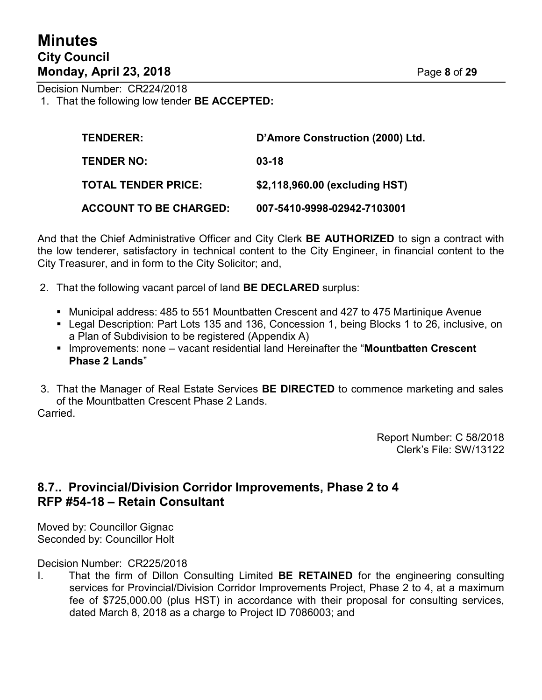# **Minutes City Council Monday, April 23, 2018** Page **8** of **29**

Decision Number: CR224/2018

1. That the following low tender **BE ACCEPTED:**

| <b>TENDERER:</b>              | D'Amore Construction (2000) Ltd. |
|-------------------------------|----------------------------------|
| <b>TENDER NO:</b>             | 03-18                            |
| <b>TOTAL TENDER PRICE:</b>    | \$2,118,960.00 (excluding HST)   |
| <b>ACCOUNT TO BE CHARGED:</b> | 007-5410-9998-02942-7103001      |

And that the Chief Administrative Officer and City Clerk **BE AUTHORIZED** to sign a contract with the low tenderer, satisfactory in technical content to the City Engineer, in financial content to the City Treasurer, and in form to the City Solicitor; and,

- 2. That the following vacant parcel of land **BE DECLARED** surplus:
	- Municipal address: 485 to 551 Mountbatten Crescent and 427 to 475 Martinique Avenue
	- Legal Description: Part Lots 135 and 136, Concession 1, being Blocks 1 to 26, inclusive, on a Plan of Subdivision to be registered (Appendix A)
	- Improvements: none vacant residential land Hereinafter the "**Mountbatten Crescent Phase 2 Lands**"
- 3. That the Manager of Real Estate Services **BE DIRECTED** to commence marketing and sales of the Mountbatten Crescent Phase 2 Lands. Carried.

Report Number: C 58/2018 Clerk's File: SW/13122

### **8.7.. Provincial/Division Corridor Improvements, Phase 2 to 4 RFP #54-18 – Retain Consultant**

Moved by: Councillor Gignac Seconded by: Councillor Holt

Decision Number: CR225/2018

I. That the firm of Dillon Consulting Limited **BE RETAINED** for the engineering consulting services for Provincial/Division Corridor Improvements Project, Phase 2 to 4, at a maximum fee of \$725,000.00 (plus HST) in accordance with their proposal for consulting services, dated March 8, 2018 as a charge to Project ID 7086003; and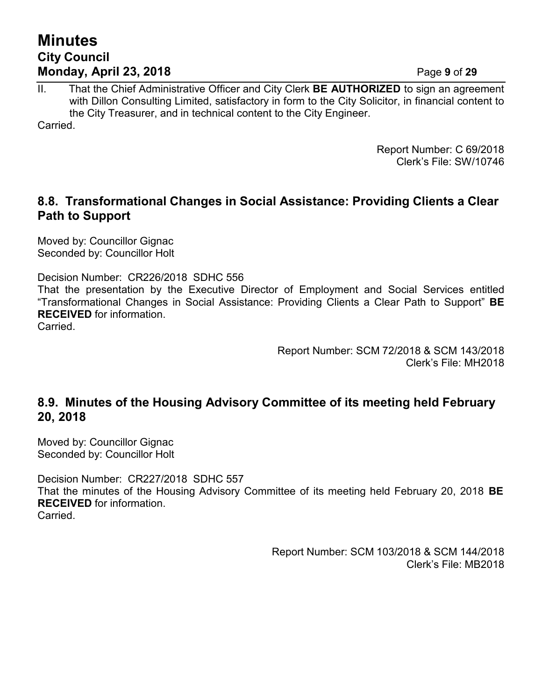# **Minutes City Council Monday, April 23, 2018** Page **9** of **29**

II. That the Chief Administrative Officer and City Clerk **BE AUTHORIZED** to sign an agreement with Dillon Consulting Limited, satisfactory in form to the City Solicitor, in financial content to the City Treasurer, and in technical content to the City Engineer.

Carried.

Report Number: C 69/2018 Clerk's File: SW/10746

# **8.8. Transformational Changes in Social Assistance: Providing Clients a Clear Path to Support**

Moved by: Councillor Gignac Seconded by: Councillor Holt

Decision Number: CR226/2018 SDHC 556

That the presentation by the Executive Director of Employment and Social Services entitled "Transformational Changes in Social Assistance: Providing Clients a Clear Path to Support" **BE RECEIVED** for information.

Carried.

Report Number: SCM 72/2018 & SCM 143/2018 Clerk's File: MH2018

### **8.9. Minutes of the Housing Advisory Committee of its meeting held February 20, 2018**

Moved by: Councillor Gignac Seconded by: Councillor Holt

Decision Number: CR227/2018 SDHC 557 That the minutes of the Housing Advisory Committee of its meeting held February 20, 2018 **BE RECEIVED** for information. Carried.

> Report Number: SCM 103/2018 & SCM 144/2018 Clerk's File: MB2018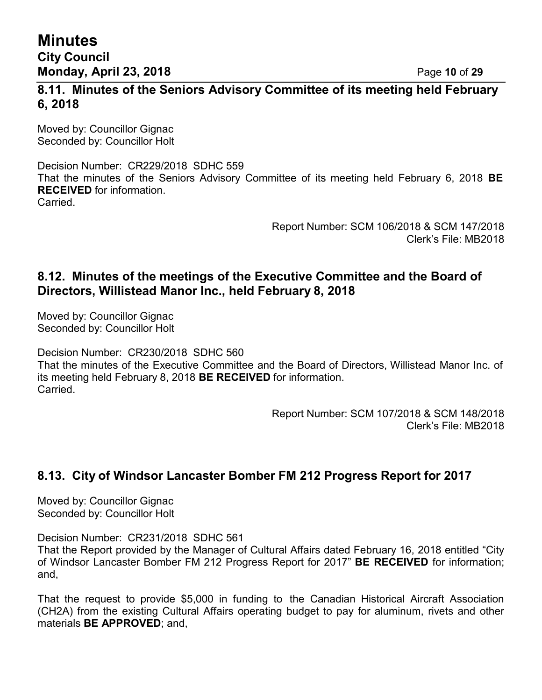### **8.11. Minutes of the Seniors Advisory Committee of its meeting held February 6, 2018**

Moved by: Councillor Gignac Seconded by: Councillor Holt

Decision Number: CR229/2018 SDHC 559 That the minutes of the Seniors Advisory Committee of its meeting held February 6, 2018 **BE RECEIVED** for information. Carried.

> Report Number: SCM 106/2018 & SCM 147/2018 Clerk's File: MB2018

### **8.12. Minutes of the meetings of the Executive Committee and the Board of Directors, Willistead Manor Inc., held February 8, 2018**

Moved by: Councillor Gignac Seconded by: Councillor Holt

Decision Number: CR230/2018 SDHC 560 That the minutes of the Executive Committee and the Board of Directors, Willistead Manor Inc. of its meeting held February 8, 2018 **BE RECEIVED** for information. Carried.

> Report Number: SCM 107/2018 & SCM 148/2018 Clerk's File: MB2018

### **8.13. City of Windsor Lancaster Bomber FM 212 Progress Report for 2017**

Moved by: Councillor Gignac Seconded by: Councillor Holt

Decision Number: CR231/2018 SDHC 561

That the Report provided by the Manager of Cultural Affairs dated February 16, 2018 entitled "City of Windsor Lancaster Bomber FM 212 Progress Report for 2017" **BE RECEIVED** for information; and,

That the request to provide \$5,000 in funding to the Canadian Historical Aircraft Association (CH2A) from the existing Cultural Affairs operating budget to pay for aluminum, rivets and other materials **BE APPROVED**; and,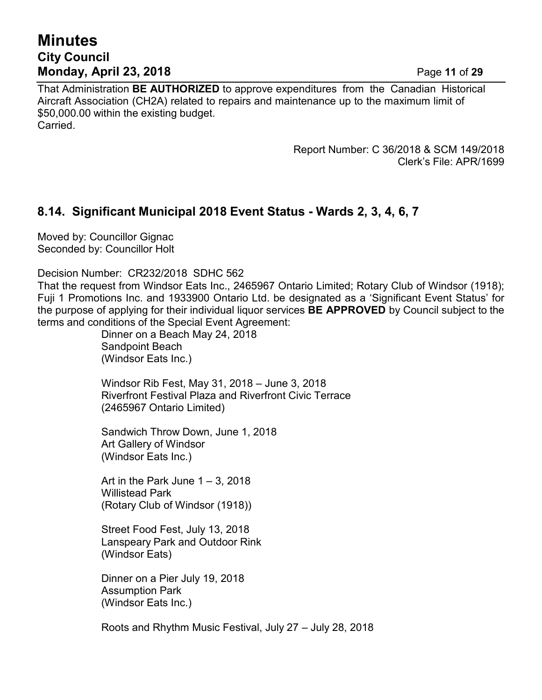# **Minutes City Council Monday, April 23, 2018** Page **11** of **29**

That Administration **BE AUTHORIZED** to approve expenditures from the Canadian Historical Aircraft Association (CH2A) related to repairs and maintenance up to the maximum limit of \$50,000.00 within the existing budget. Carried.

> Report Number: C 36/2018 & SCM 149/2018 Clerk's File: APR/1699

### **8.14. Significant Municipal 2018 Event Status - Wards 2, 3, 4, 6, 7**

Moved by: Councillor Gignac Seconded by: Councillor Holt

Decision Number: CR232/2018 SDHC 562

That the request from Windsor Eats Inc., 2465967 Ontario Limited; Rotary Club of Windsor (1918); Fuji 1 Promotions Inc. and 1933900 Ontario Ltd. be designated as a 'Significant Event Status' for the purpose of applying for their individual liquor services **BE APPROVED** by Council subject to the terms and conditions of the Special Event Agreement:

Dinner on a Beach May 24, 2018 Sandpoint Beach (Windsor Eats Inc.)

Windsor Rib Fest, May 31, 2018 – June 3, 2018 Riverfront Festival Plaza and Riverfront Civic Terrace (2465967 Ontario Limited)

Sandwich Throw Down, June 1, 2018 Art Gallery of Windsor (Windsor Eats Inc.)

Art in the Park June  $1 - 3$ , 2018 Willistead Park (Rotary Club of Windsor (1918))

Street Food Fest, July 13, 2018 Lanspeary Park and Outdoor Rink (Windsor Eats)

Dinner on a Pier July 19, 2018 Assumption Park (Windsor Eats Inc.)

Roots and Rhythm Music Festival, July 27 – July 28, 2018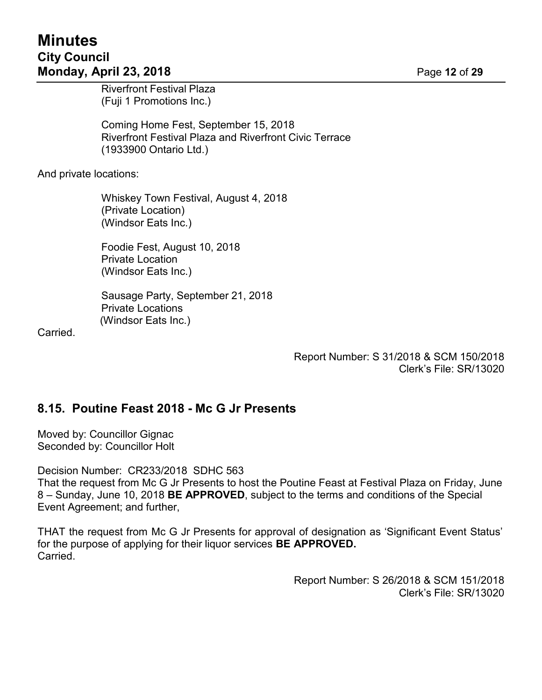# **Minutes City Council Monday, April 23, 2018** Page **12** of **29**

Riverfront Festival Plaza (Fuji 1 Promotions Inc.)

Coming Home Fest, September 15, 2018 Riverfront Festival Plaza and Riverfront Civic Terrace (1933900 Ontario Ltd.)

And private locations:

Whiskey Town Festival, August 4, 2018 (Private Location) (Windsor Eats Inc.)

Foodie Fest, August 10, 2018 Private Location (Windsor Eats Inc.)

Sausage Party, September 21, 2018 Private Locations (Windsor Eats Inc.)

Carried.

Report Number: S 31/2018 & SCM 150/2018 Clerk's File: SR/13020

### **8.15. Poutine Feast 2018 - Mc G Jr Presents**

Moved by: Councillor Gignac Seconded by: Councillor Holt

Decision Number: CR233/2018 SDHC 563

That the request from Mc G Jr Presents to host the Poutine Feast at Festival Plaza on Friday, June 8 – Sunday, June 10, 2018 **BE APPROVED**, subject to the terms and conditions of the Special Event Agreement; and further,

THAT the request from Mc G Jr Presents for approval of designation as 'Significant Event Status' for the purpose of applying for their liquor services **BE APPROVED.** Carried.

> Report Number: S 26/2018 & SCM 151/2018 Clerk's File: SR/13020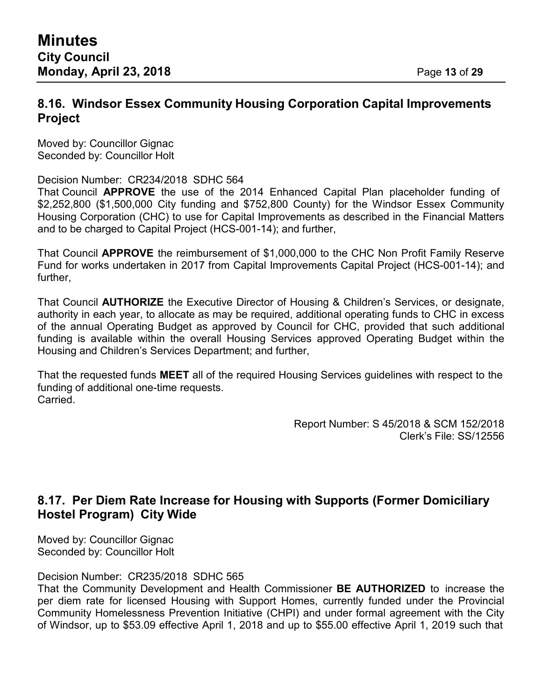### **8.16. Windsor Essex Community Housing Corporation Capital Improvements Project**

Moved by: Councillor Gignac Seconded by: Councillor Holt

Decision Number: CR234/2018 SDHC 564

That Council **APPROVE** the use of the 2014 Enhanced Capital Plan placeholder funding of \$2,252,800 (\$1,500,000 City funding and \$752,800 County) for the Windsor Essex Community Housing Corporation (CHC) to use for Capital Improvements as described in the Financial Matters and to be charged to Capital Project (HCS-001-14); and further,

That Council **APPROVE** the reimbursement of \$1,000,000 to the CHC Non Profit Family Reserve Fund for works undertaken in 2017 from Capital Improvements Capital Project (HCS-001-14); and further,

That Council **AUTHORIZE** the Executive Director of Housing & Children's Services, or designate, authority in each year, to allocate as may be required, additional operating funds to CHC in excess of the annual Operating Budget as approved by Council for CHC, provided that such additional funding is available within the overall Housing Services approved Operating Budget within the Housing and Children's Services Department; and further,

That the requested funds **MEET** all of the required Housing Services guidelines with respect to the funding of additional one-time requests. **Carried** 

> Report Number: S 45/2018 & SCM 152/2018 Clerk's File: SS/12556

# **8.17. Per Diem Rate Increase for Housing with Supports (Former Domiciliary Hostel Program) City Wide**

Moved by: Councillor Gignac Seconded by: Councillor Holt

Decision Number: CR235/2018 SDHC 565

That the Community Development and Health Commissioner **BE AUTHORIZED** to increase the per diem rate for licensed Housing with Support Homes, currently funded under the Provincial Community Homelessness Prevention Initiative (CHPI) and under formal agreement with the City of Windsor, up to \$53.09 effective April 1, 2018 and up to \$55.00 effective April 1, 2019 such that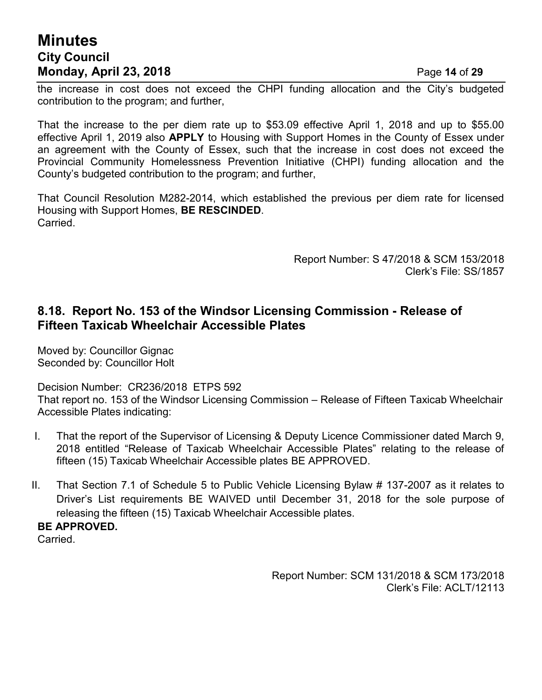# **Minutes City Council Monday, April 23, 2018** Page **14** of **29**

the increase in cost does not exceed the CHPI funding allocation and the City's budgeted contribution to the program; and further,

That the increase to the per diem rate up to \$53.09 effective April 1, 2018 and up to \$55.00 effective April 1, 2019 also **APPLY** to Housing with Support Homes in the County of Essex under an agreement with the County of Essex, such that the increase in cost does not exceed the Provincial Community Homelessness Prevention Initiative (CHPI) funding allocation and the County's budgeted contribution to the program; and further,

That Council Resolution M282-2014, which established the previous per diem rate for licensed Housing with Support Homes, **BE RESCINDED**. Carried.

> Report Number: S 47/2018 & SCM 153/2018 Clerk's File: SS/1857

### **8.18. Report No. 153 of the Windsor Licensing Commission - Release of Fifteen Taxicab Wheelchair Accessible Plates**

Moved by: Councillor Gignac Seconded by: Councillor Holt

Decision Number: CR236/2018 ETPS 592 That report no. 153 of the Windsor Licensing Commission – Release of Fifteen Taxicab Wheelchair Accessible Plates indicating:

- I. That the report of the Supervisor of Licensing & Deputy Licence Commissioner dated March 9, 2018 entitled "Release of Taxicab Wheelchair Accessible Plates" relating to the release of fifteen (15) Taxicab Wheelchair Accessible plates BE APPROVED.
- II. That Section 7.1 of Schedule 5 to Public Vehicle Licensing Bylaw # 137-2007 as it relates to Driver's List requirements BE WAIVED until December 31, 2018 for the sole purpose of releasing the fifteen (15) Taxicab Wheelchair Accessible plates.

### **BE APPROVED.**

Carried.

Report Number: SCM 131/2018 & SCM 173/2018 Clerk's File: ACLT/12113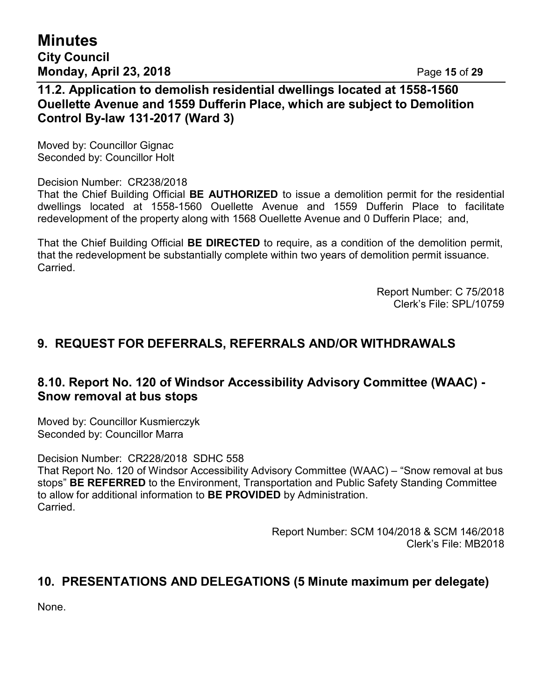**Minutes City Council Monday, April 23, 2018** Page **15** of **29**

### **11.2. Application to demolish residential dwellings located at 1558-1560 Ouellette Avenue and 1559 Dufferin Place, which are subject to Demolition Control By-law 131-2017 (Ward 3)**

Moved by: Councillor Gignac Seconded by: Councillor Holt

Decision Number: CR238/2018

That the Chief Building Official **BE AUTHORIZED** to issue a demolition permit for the residential dwellings located at 1558-1560 Ouellette Avenue and 1559 Dufferin Place to facilitate redevelopment of the property along with 1568 Ouellette Avenue and 0 Dufferin Place; and,

That the Chief Building Official **BE DIRECTED** to require, as a condition of the demolition permit, that the redevelopment be substantially complete within two years of demolition permit issuance. Carried.

> Report Number: C 75/2018 Clerk's File: SPL/10759

### **9. REQUEST FOR DEFERRALS, REFERRALS AND/OR WITHDRAWALS**

### **8.10. Report No. 120 of Windsor Accessibility Advisory Committee (WAAC) - Snow removal at bus stops**

Moved by: Councillor Kusmierczyk Seconded by: Councillor Marra

Decision Number: CR228/2018 SDHC 558 That Report No. 120 of Windsor Accessibility Advisory Committee (WAAC) – "Snow removal at bus stops" **BE REFERRED** to the Environment, Transportation and Public Safety Standing Committee to allow for additional information to **BE PROVIDED** by Administration. Carried.

> Report Number: SCM 104/2018 & SCM 146/2018 Clerk's File: MB2018

### **10. PRESENTATIONS AND DELEGATIONS (5 Minute maximum per delegate)**

None.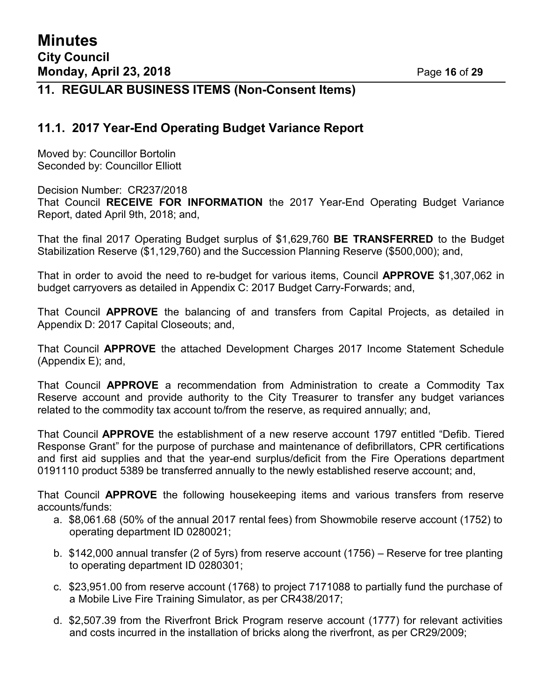# **11. REGULAR BUSINESS ITEMS (Non-Consent Items)**

### **11.1. 2017 Year-End Operating Budget Variance Report**

Moved by: Councillor Bortolin Seconded by: Councillor Elliott

Decision Number: CR237/2018 That Council **RECEIVE FOR INFORMATION** the 2017 Year-End Operating Budget Variance Report, dated April 9th, 2018; and,

That the final 2017 Operating Budget surplus of \$1,629,760 **BE TRANSFERRED** to the Budget Stabilization Reserve (\$1,129,760) and the Succession Planning Reserve (\$500,000); and,

That in order to avoid the need to re-budget for various items, Council **APPROVE** \$1,307,062 in budget carryovers as detailed in Appendix C: 2017 Budget Carry-Forwards; and,

That Council **APPROVE** the balancing of and transfers from Capital Projects, as detailed in Appendix D: 2017 Capital Closeouts; and,

That Council **APPROVE** the attached Development Charges 2017 Income Statement Schedule (Appendix E); and,

That Council **APPROVE** a recommendation from Administration to create a Commodity Tax Reserve account and provide authority to the City Treasurer to transfer any budget variances related to the commodity tax account to/from the reserve, as required annually; and,

That Council **APPROVE** the establishment of a new reserve account 1797 entitled "Defib. Tiered Response Grant" for the purpose of purchase and maintenance of defibrillators, CPR certifications and first aid supplies and that the year-end surplus/deficit from the Fire Operations department 0191110 product 5389 be transferred annually to the newly established reserve account; and,

That Council **APPROVE** the following housekeeping items and various transfers from reserve accounts/funds:

- a. \$8,061.68 (50% of the annual 2017 rental fees) from Showmobile reserve account (1752) to operating department ID 0280021;
- b. \$142,000 annual transfer (2 of 5yrs) from reserve account (1756) Reserve for tree planting to operating department ID 0280301;
- c. \$23,951.00 from reserve account (1768) to project 7171088 to partially fund the purchase of a Mobile Live Fire Training Simulator, as per CR438/2017;
- d. \$2,507.39 from the Riverfront Brick Program reserve account (1777) for relevant activities and costs incurred in the installation of bricks along the riverfront, as per CR29/2009;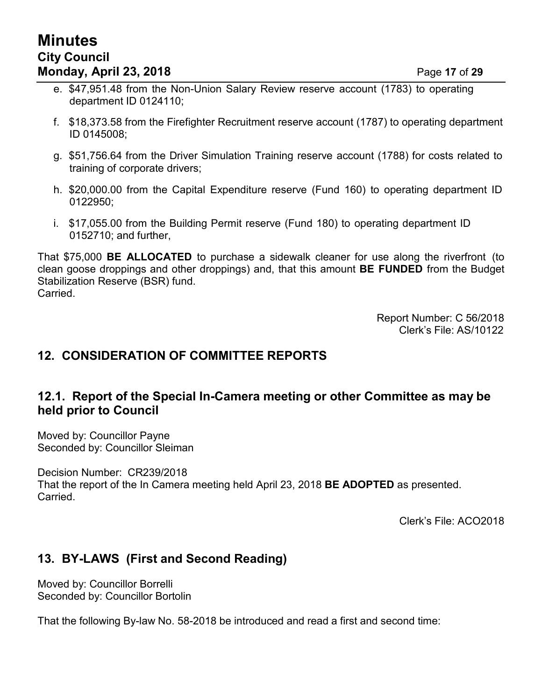# **Minutes City Council Monday, April 23, 2018** Page **17** of **29**

- e. \$47,951.48 from the Non-Union Salary Review reserve account (1783) to operating department ID 0124110;
- f. \$18,373.58 from the Firefighter Recruitment reserve account (1787) to operating department ID 0145008;
- g. \$51,756.64 from the Driver Simulation Training reserve account (1788) for costs related to training of corporate drivers;
- h. \$20,000.00 from the Capital Expenditure reserve (Fund 160) to operating department ID 0122950;
- i. \$17,055.00 from the Building Permit reserve (Fund 180) to operating department ID 0152710; and further,

That \$75,000 **BE ALLOCATED** to purchase a sidewalk cleaner for use along the riverfront (to clean goose droppings and other droppings) and, that this amount **BE FUNDED** from the Budget Stabilization Reserve (BSR) fund. **Carried** 

> Report Number: C 56/2018 Clerk's File: AS/10122

### **12. CONSIDERATION OF COMMITTEE REPORTS**

### **12.1. Report of the Special In-Camera meeting or other Committee as may be held prior to Council**

Moved by: Councillor Payne Seconded by: Councillor Sleiman

Decision Number: CR239/2018

That the report of the In Camera meeting held April 23, 2018 **BE ADOPTED** as presented. Carried.

Clerk's File: ACO2018

# **13. BY-LAWS (First and Second Reading)**

Moved by: Councillor Borrelli Seconded by: Councillor Bortolin

That the following By-law No. 58-2018 be introduced and read a first and second time: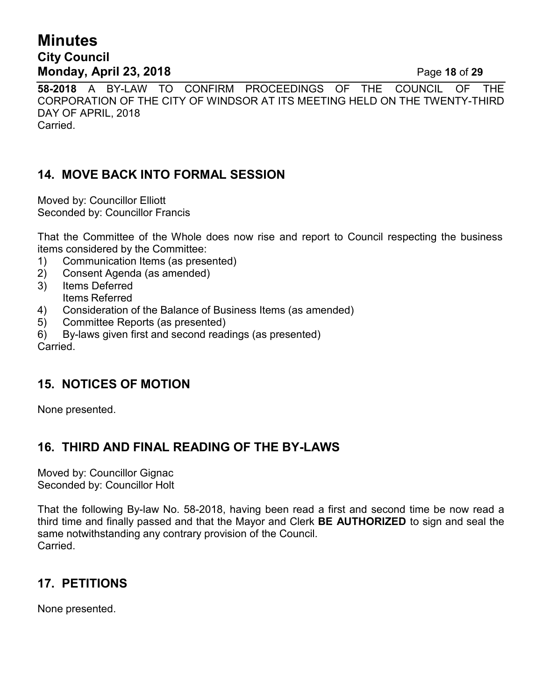# **Minutes City Council Monday, April 23, 2018** Page **18** of **29**

**58-2018** A BY-LAW TO CONFIRM PROCEEDINGS OF THE COUNCIL OF THE CORPORATION OF THE CITY OF WINDSOR AT ITS MEETING HELD ON THE TWENTY-THIRD DAY OF APRIL, 2018 Carried.

# **14. MOVE BACK INTO FORMAL SESSION**

Moved by: Councillor Elliott Seconded by: Councillor Francis

That the Committee of the Whole does now rise and report to Council respecting the business items considered by the Committee:

- 1) Communication Items (as presented)
- 2) Consent Agenda (as amended)
- 3) Items Deferred Items Referred
- 4) Consideration of the Balance of Business Items (as amended)
- 5) Committee Reports (as presented)
- 6) By-laws given first and second readings (as presented)

Carried.

# **15. NOTICES OF MOTION**

None presented.

# **16. THIRD AND FINAL READING OF THE BY-LAWS**

Moved by: Councillor Gignac Seconded by: Councillor Holt

That the following By-law No. 58-2018, having been read a first and second time be now read a third time and finally passed and that the Mayor and Clerk **BE AUTHORIZED** to sign and seal the same notwithstanding any contrary provision of the Council. Carried.

# **17. PETITIONS**

None presented.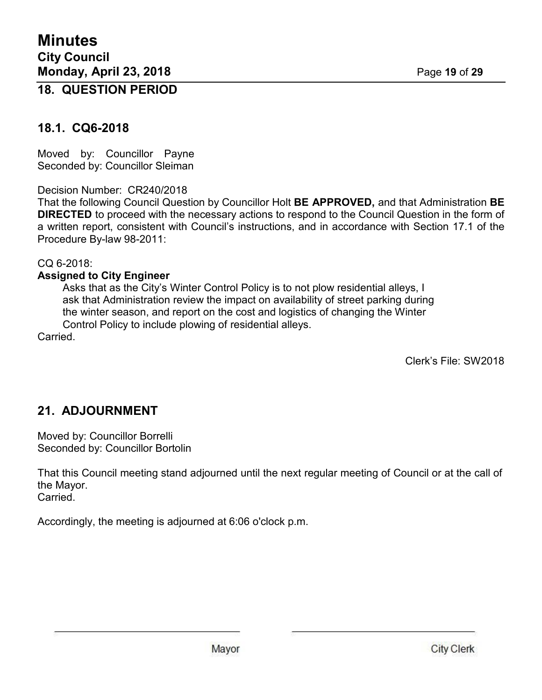# **18. QUESTION PERIOD**

### **18.1. CQ6-2018**

Moved by: Councillor Payne Seconded by: Councillor Sleiman

Decision Number: CR240/2018

That the following Council Question by Councillor Holt **BE APPROVED,** and that Administration **BE DIRECTED** to proceed with the necessary actions to respond to the Council Question in the form of a written report, consistent with Council's instructions, and in accordance with Section 17.1 of the Procedure By-law 98-2011:

#### CQ 6-2018:

#### **Assigned to City Engineer**

Asks that as the City's Winter Control Policy is to not plow residential alleys, I ask that Administration review the impact on availability of street parking during the winter season, and report on the cost and logistics of changing the Winter Control Policy to include plowing of residential alleys.

**Carried** 

Clerk's File: SW2018

### **21. ADJOURNMENT**

Moved by: Councillor Borrelli Seconded by: Councillor Bortolin

That this Council meeting stand adjourned until the next regular meeting of Council or at the call of the Mayor.

Carried.

Accordingly, the meeting is adjourned at 6:06 o'clock p.m.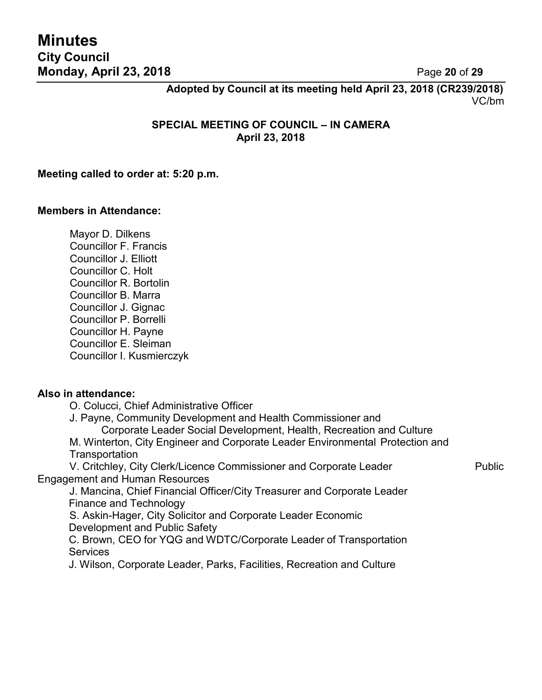**Adopted by Council at its meeting held April 23, 2018 (CR239/2018)** VC/bm

**SPECIAL MEETING OF COUNCIL – IN CAMERA April 23, 2018**

**Meeting called to order at: 5:20 p.m.**

#### **Members in Attendance:**

Mayor D. Dilkens Councillor F. Francis Councillor J. Elliott Councillor C. Holt Councillor R. Bortolin Councillor B. Marra Councillor J. Gignac Councillor P. Borrelli Councillor H. Payne Councillor E. Sleiman Councillor I. Kusmierczyk

#### **Also in attendance:**

O. Colucci, Chief Administrative Officer

J. Payne, Community Development and Health Commissioner and Corporate Leader Social Development, Health, Recreation and Culture

M. Winterton, City Engineer and Corporate Leader Environmental Protection and **Transportation** 

V. Critchley, City Clerk/Licence Commissioner and Corporate Leader Public Engagement and Human Resources

J. Mancina, Chief Financial Officer/City Treasurer and Corporate Leader Finance and Technology

S. Askin-Hager, City Solicitor and Corporate Leader Economic Development and Public Safety

C. Brown, CEO for YQG and WDTC/Corporate Leader of Transportation **Services** 

J. Wilson, Corporate Leader, Parks, Facilities, Recreation and Culture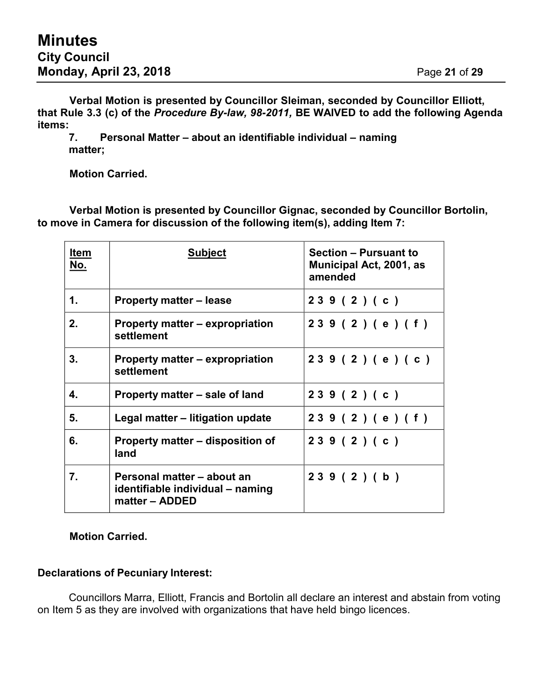**Verbal Motion is presented by Councillor Sleiman, seconded by Councillor Elliott, that Rule 3.3 (c) of the** *Procedure By-law, 98-2011,* **BE WAIVED to add the following Agenda items:**

**7. Personal Matter – about an identifiable individual – naming matter;**

**Motion Carried.**

**Verbal Motion is presented by Councillor Gignac, seconded by Councillor Bortolin, to move in Camera for discussion of the following item(s), adding Item 7:**

| <b>Item</b><br>No. | <b>Subject</b>                                                                   | <b>Section - Pursuant to</b><br>Municipal Act, 2001, as<br>amended |
|--------------------|----------------------------------------------------------------------------------|--------------------------------------------------------------------|
| 1.                 | <b>Property matter – lease</b>                                                   | 239(2)(c)                                                          |
| 2.                 | Property matter – expropriation<br>settlement                                    | 239 (2) (e) (f)                                                    |
| 3.                 | Property matter – expropriation<br>settlement                                    | 239(2)(e)(c)                                                       |
| 4.                 | Property matter – sale of land                                                   | 239(2)(c)                                                          |
| 5.                 | Legal matter – litigation update                                                 | 239 (2) (e) (f)                                                    |
| 6.                 | Property matter – disposition of<br>land                                         | 239(2)(c)                                                          |
| 7.                 | Personal matter – about an<br>identifiable individual - naming<br>matter - ADDED | 239(2)(b)                                                          |

**Motion Carried.**

#### **Declarations of Pecuniary Interest:**

Councillors Marra, Elliott, Francis and Bortolin all declare an interest and abstain from voting on Item 5 as they are involved with organizations that have held bingo licences.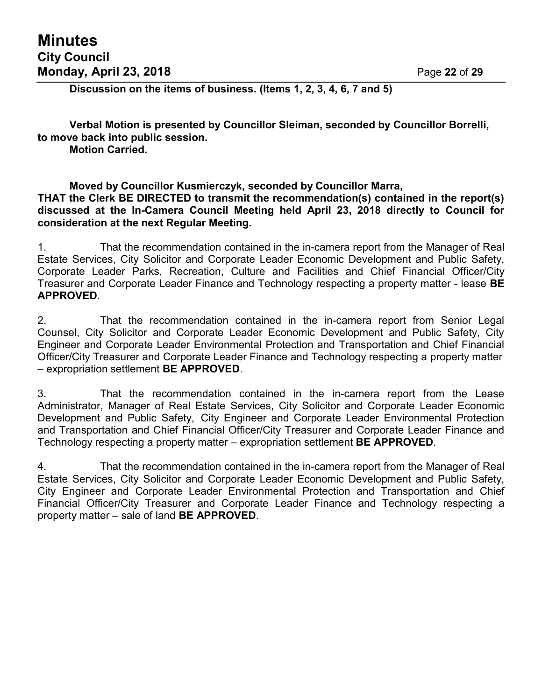# **Minutes City Council Monday, April 23, 2018** Page **22** of **29**

**Discussion on the items of business. (Items 1, 2, 3, 4, 6, 7 and 5)**

**Verbal Motion is presented by Councillor Sleiman, seconded by Councillor Borrelli, to move back into public session.**

**Motion Carried.**

**Moved by Councillor Kusmierczyk, seconded by Councillor Marra, THAT the Clerk BE DIRECTED to transmit the recommendation(s) contained in the report(s) discussed at the In-Camera Council Meeting held April 23, 2018 directly to Council for consideration at the next Regular Meeting.**

1. That the recommendation contained in the in-camera report from the Manager of Real Estate Services, City Solicitor and Corporate Leader Economic Development and Public Safety, Corporate Leader Parks, Recreation, Culture and Facilities and Chief Financial Officer/City Treasurer and Corporate Leader Finance and Technology respecting a property matter - lease **BE APPROVED**.

2. That the recommendation contained in the in-camera report from Senior Legal Counsel, City Solicitor and Corporate Leader Economic Development and Public Safety, City Engineer and Corporate Leader Environmental Protection and Transportation and Chief Financial Officer/City Treasurer and Corporate Leader Finance and Technology respecting a property matter – expropriation settlement **BE APPROVED**.

3. That the recommendation contained in the in-camera report from the Lease Administrator, Manager of Real Estate Services, City Solicitor and Corporate Leader Economic Development and Public Safety, City Engineer and Corporate Leader Environmental Protection and Transportation and Chief Financial Officer/City Treasurer and Corporate Leader Finance and Technology respecting a property matter – expropriation settlement **BE APPROVED**.

4. That the recommendation contained in the in-camera report from the Manager of Real Estate Services, City Solicitor and Corporate Leader Economic Development and Public Safety, City Engineer and Corporate Leader Environmental Protection and Transportation and Chief Financial Officer/City Treasurer and Corporate Leader Finance and Technology respecting a property matter – sale of land **BE APPROVED**.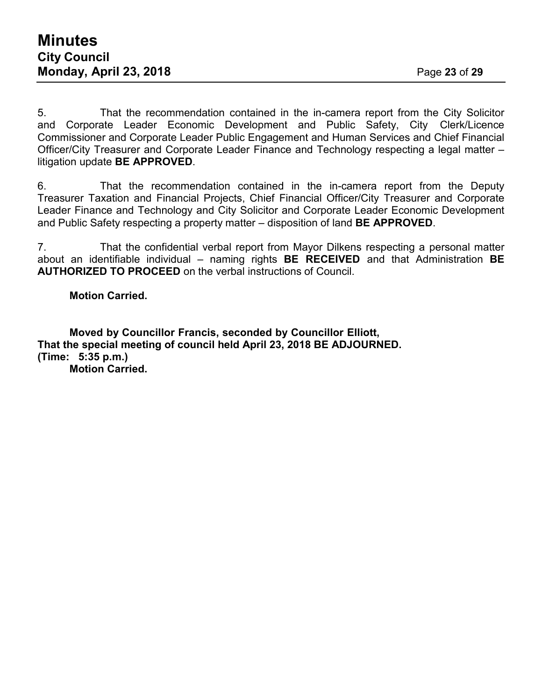5. That the recommendation contained in the in-camera report from the City Solicitor and Corporate Leader Economic Development and Public Safety, City Clerk/Licence Commissioner and Corporate Leader Public Engagement and Human Services and Chief Financial Officer/City Treasurer and Corporate Leader Finance and Technology respecting a legal matter – litigation update **BE APPROVED**.

6. That the recommendation contained in the in-camera report from the Deputy Treasurer Taxation and Financial Projects, Chief Financial Officer/City Treasurer and Corporate Leader Finance and Technology and City Solicitor and Corporate Leader Economic Development and Public Safety respecting a property matter – disposition of land **BE APPROVED**.

7. That the confidential verbal report from Mayor Dilkens respecting a personal matter about an identifiable individual – naming rights **BE RECEIVED** and that Administration **BE AUTHORIZED TO PROCEED** on the verbal instructions of Council.

**Motion Carried.**

**Moved by Councillor Francis, seconded by Councillor Elliott, That the special meeting of council held April 23, 2018 BE ADJOURNED. (Time: 5:35 p.m.) Motion Carried.**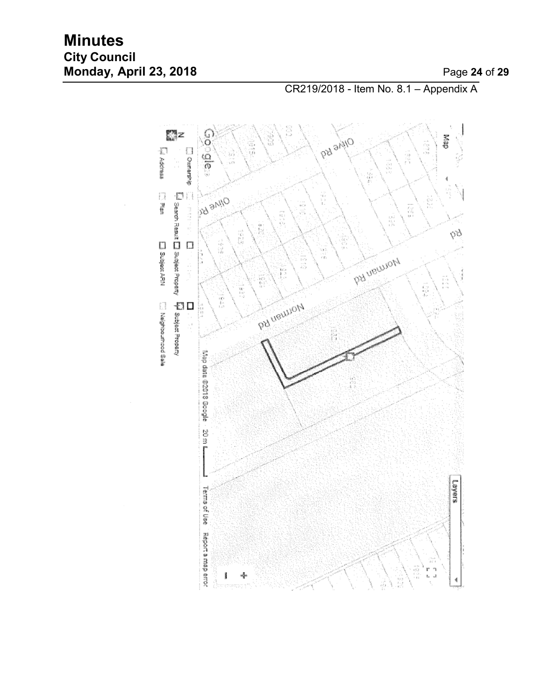# **Minutes City Council Monday, April 23, 2018** Page **24** of **29**

CR219/2018 - Item No. 8.1 – Appendix A

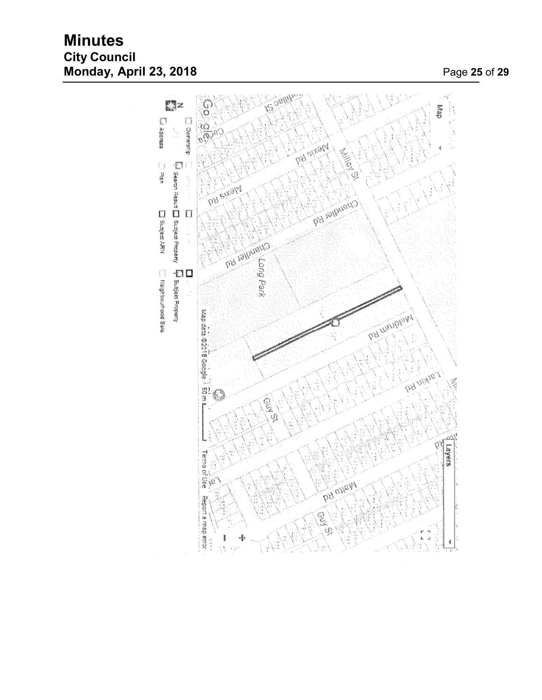# **Minutes City Council Monday, April 23, 2018** Page **25** of **29**

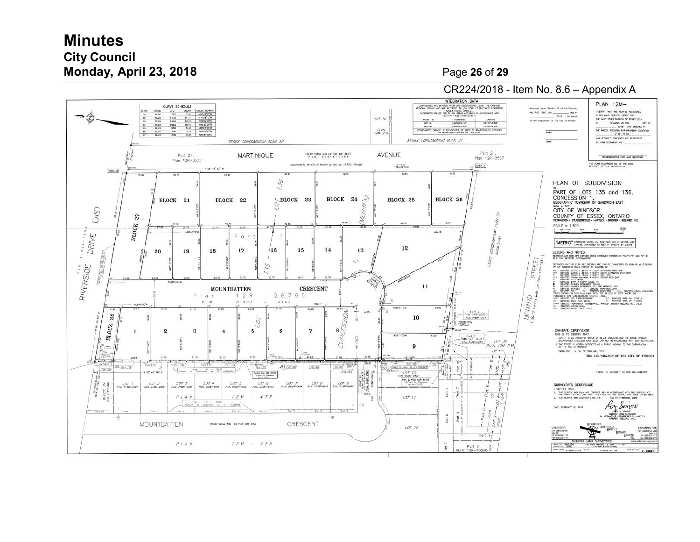# **Minutes City Council Monday, April 23, 2018** Page **26** of **29**



CR224/2018 - Item No. 8.6 – Appendix A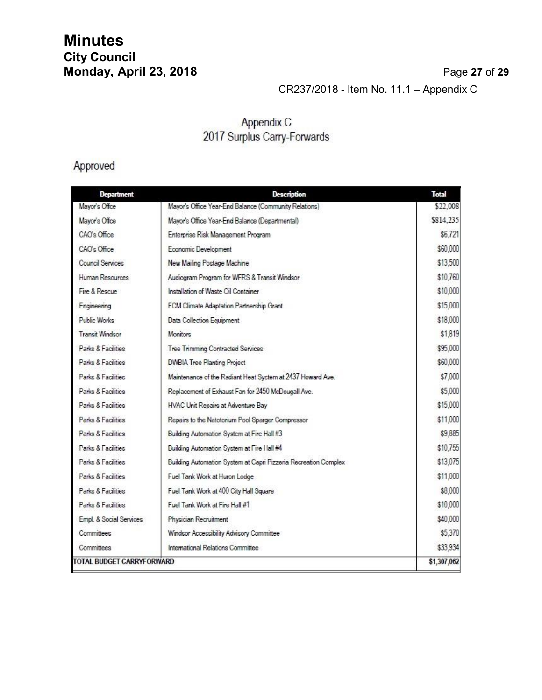CR237/2018 - Item No. 11.1 – Appendix C

# Appendix C 2017 Surplus Carry-Forwards

# Approved

| <b>Department</b>         | <b>Description</b>                                              | <b>Total</b> |
|---------------------------|-----------------------------------------------------------------|--------------|
| Mayor's Office            | Mayor's Office Year-End Balance (Community Relations)           | \$22,008     |
| Mayor's Office            | Mayor's Office Year-End Balance (Departmental)                  | \$814,235    |
| CAO's Office              | Enterprise Risk Management Program                              | \$6,721      |
| CAO's Office              | Economic Development                                            | \$60,000     |
| Council Services          | New Mailing Postage Machine                                     | \$13,500     |
| Human Resources           | Audiogram Program for WFRS & Transit Windsor                    | \$10.760     |
| Fire & Rescue             | Installation of Waste Oil Container                             | \$10,000     |
| Engineering               | FCM Climate Adaptation Partnership Grant                        | \$15,000     |
| Public Works              | Data Collection Equipment                                       | \$18,000     |
| <b>Transit Windsor</b>    | <b>Monitors</b>                                                 | \$1,819      |
| Parks & Facilities        | Tree Trimming Contracted Services                               | \$95,000     |
| Parks & Facilities        | <b>DWBIA Tree Planting Project</b>                              | \$60,000     |
| Parks & Facilities        | Maintenance of the Radiant Heat System at 2437 Howard Ave.      | \$7,000      |
| Parks & Facilities        | Replacement of Exhaust Fan for 2450 McDougall Ave.              | \$5,000      |
| Parks & Facilities        | HVAC Unit Repairs at Adventure Bay                              | \$15,000     |
| Parks & Facilities        | Repairs to the Natotorium Pool Sparger Compressor               | \$11,000     |
| Parks & Facilities        | Building Automation System at Fire Hall #3                      | \$9,885      |
| Parks & Facilities        | Building Automation System at Fire Hall #4                      | \$10.755     |
| Parks & Facilities        | Building Automation System at Capri Pizzeria Recreation Complex | \$13,075     |
| Parks & Facilities        | Fuel Tank Work at Huron Lodge                                   | \$11,000     |
| Parks & Facilities        | Fuel Tank Work at 400 City Hall Square                          | \$8,000      |
| Parks & Facilities        | Fuel Tank Work at Fire Hall #1                                  | \$10,000     |
| Empl. & Social Services   | Physician Recruitment                                           | \$40,000     |
| <b>Committees</b>         | Windsor Accessibility Advisory Committee                        | \$5,370      |
| Committees                | International Relations Committee                               | \$33,934     |
| TOTAL BUDGET CARRYFORWARD |                                                                 | \$1,307,062  |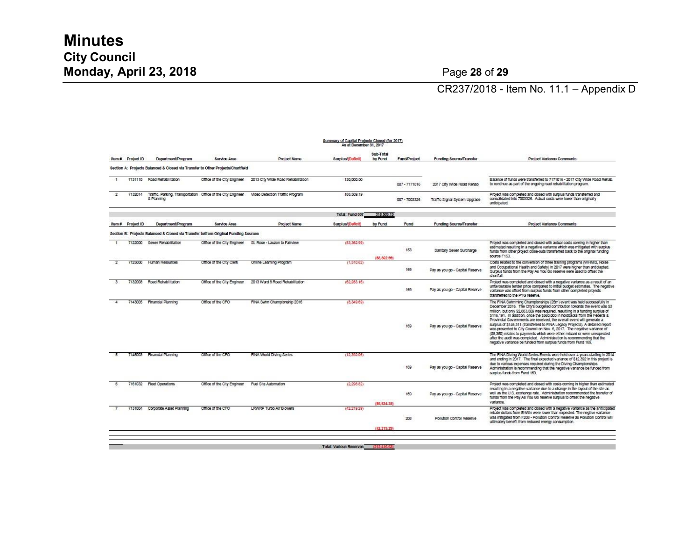#### CR237/2018 - Item No. 11.1 – Appendix D

|                |                   |                                                                                     |                             |                                    | Summary or Capital Projects Closed from 2017]<br>As at December 31, 2017 |                      |               |                                 |                                                                                                                                                                                                                                                                                                                                                                                                                                                                                                                                                                                                                                                                                                                                                                                 |
|----------------|-------------------|-------------------------------------------------------------------------------------|-----------------------------|------------------------------------|--------------------------------------------------------------------------|----------------------|---------------|---------------------------------|---------------------------------------------------------------------------------------------------------------------------------------------------------------------------------------------------------------------------------------------------------------------------------------------------------------------------------------------------------------------------------------------------------------------------------------------------------------------------------------------------------------------------------------------------------------------------------------------------------------------------------------------------------------------------------------------------------------------------------------------------------------------------------|
|                | Item # Project ID | <b>Department/Program</b>                                                           | Service Area                | Project Name                       | Surplus/(Deficit)                                                        | Sub-Total<br>by Fund | Fund/Project  | Funding Source/Transfer         | Project Variance Comments                                                                                                                                                                                                                                                                                                                                                                                                                                                                                                                                                                                                                                                                                                                                                       |
|                |                   | Section A: Projects Balanced & Closed via Transfer to Other Projects/Chartfield     |                             |                                    |                                                                          |                      |               |                                 |                                                                                                                                                                                                                                                                                                                                                                                                                                                                                                                                                                                                                                                                                                                                                                                 |
| $\mathbf{1}$   |                   | 7131110 Road Rehabilitation                                                         | Office of the City Engineer | 2013 City Wide Road Rehabilitation | 130,000.00                                                               |                      | 007 - 7171016 | 2017 City Wide Road Rehab       | Balance of funds were transferred to 7171016 - 2017 City Wide Road Rehab.<br>to continue as part of the ongoing road rehabilitation program.                                                                                                                                                                                                                                                                                                                                                                                                                                                                                                                                                                                                                                    |
| $\overline{2}$ |                   | 7132014 Traffic, Parking, Transportation Office of the City Engineer<br>& Planning  |                             | Video Detection Traffic Program    | 188,509.19                                                               |                      | 007 - 7003326 | Traffic Signal System Upgrade   | Project was completed and closed with surplus funds transferred and<br>consolidated Into 7003326. Actual costs were lower than originally<br>anticipated.                                                                                                                                                                                                                                                                                                                                                                                                                                                                                                                                                                                                                       |
|                |                   |                                                                                     |                             |                                    | Total: Fund 007                                                          | 318,509.19           |               |                                 |                                                                                                                                                                                                                                                                                                                                                                                                                                                                                                                                                                                                                                                                                                                                                                                 |
|                | Item # Project ID | Department/Program                                                                  | Service Area                | Project Name                       | Surplus/(Deficit)                                                        | by Fund              | Fund          | Funding Source/Transfer         | Project Variance Comments                                                                                                                                                                                                                                                                                                                                                                                                                                                                                                                                                                                                                                                                                                                                                       |
|                |                   | Section B: Projects Balanced & Closed via Transfer to/from Original Funding Sources |                             |                                    |                                                                          |                      |               |                                 |                                                                                                                                                                                                                                                                                                                                                                                                                                                                                                                                                                                                                                                                                                                                                                                 |
|                | 7122000           | Sewer Rehabilitation                                                                | Office of the City Engineer | St. Rose - Lauzon to Fairview      | (83,362.99)                                                              | (83,362.99)          | 153           | Sanitary Sewer Surcharge        | Project was completed and closed with actual costs coming in higher than<br>estimated resulting in a negative variance which was mitigated with surplus<br>funds from other project close-outs transferred back to the original funding<br>source F153.                                                                                                                                                                                                                                                                                                                                                                                                                                                                                                                         |
|                | 7125000           | Human Resources                                                                     | Office of the City Clerk    | Online Learning Program            | (1, 510.62)                                                              |                      | 169           | Pay as you go - Capital Reserve | Costs related to the conversion of three training programs (WHMIS, Noise<br>and Occupational Health and Safety) in 2017 were higher than anticiapted.<br>Surplus funds from the Pay As You Go reserve were used to offset the<br>shortfall.                                                                                                                                                                                                                                                                                                                                                                                                                                                                                                                                     |
| 3              | 7132008           | Road Rehabilitation                                                                 | Office of the City Engineer | 2013 Ward 8 Road Rehabilitation    | (62, 283.16)                                                             |                      | 169           | Pay as you go - Capital Reserve | Project was completed and closed with a negative variance as a result of an<br>unfavourable tender price compared to initial budget estimates. The negative<br>variance was offset from surplus funds from other completed projects<br>transferred to the PYG reserve.                                                                                                                                                                                                                                                                                                                                                                                                                                                                                                          |
|                |                   | 7143005 Financial Planning                                                          | Office of the CFO           | FINA Swim Championship 2016        | (8,349.69)                                                               |                      | 169           | Pay as you go - Capital Reserve | The FINA Swimming Championships (25m) event was held successfully in<br>December 2016. The City's budgeted contribution towards the event was \$3<br>million, but only \$2,883,809 was required, resultling in a funding surplus of<br>\$116,191. In addition, once the \$560,000 in holdbacks from the Federal &<br>Provincial Governments are received, the overall event will generate a<br>surplus of \$146,311 (transferred to FINA Legacy Projects). A detailed report<br>was presented to City Council on Nov. 6, 2017. The negative variance of<br>(\$8,350) relates to payments which were either missed or were unexpected<br>after the audit was completed. Administration is recommending that the<br>negative variance be funded from surplus funds from Fund 169. |
|                |                   | 7145003 Financial Planning                                                          | Office of the CFO           | FINA World Diving Series           | (12,392.06)                                                              |                      | 169           | Pay as you go - Capital Reserve | The FINA Diving World Series Events were held over 4 years starting in 2014<br>and ending in 2017. The final expected variance of \$12,392 in this project is<br>due to various expenses required during the Diving Championships.<br>Administration is recommending that the negative variance be funded from<br>surplus funds from Fund 169.                                                                                                                                                                                                                                                                                                                                                                                                                                  |
|                |                   | 7161032 Fleet Operations                                                            | Office of the City Engineer | Fuel Site Automation               | (2, 298.82)                                                              | (86, 834, 35)        | 169           | Pay as you go - Capital Reserve | Project was completed and closed with costs coming in higher than estimated<br>resulting in a negative variance due to a change in the layout of the site as<br>well as the U.S. exchange rate. Administration recommended the transfer of<br>funds from the Pay As You Go reserve surplus to offset the negative<br>variance.                                                                                                                                                                                                                                                                                                                                                                                                                                                  |
|                |                   | 7131004 Corporate Asset Planning                                                    | Office of the CFO           | <b>LRWRP Turbo Air Blowers</b>     | (42.219.29)                                                              | (42.219.29)          | 208           | Pollution Control Reserve       | Project was completed and closed with a negative variance as the anticipated<br>rebate dollars from EnWin were lower than expected. The negtive variance<br>was mitigated from F208 - Pollution Control Reserve as Pollution Control will<br>ultimately benefit from reduced energy consumption.                                                                                                                                                                                                                                                                                                                                                                                                                                                                                |

**Contract Contract Contract Contract Contract**